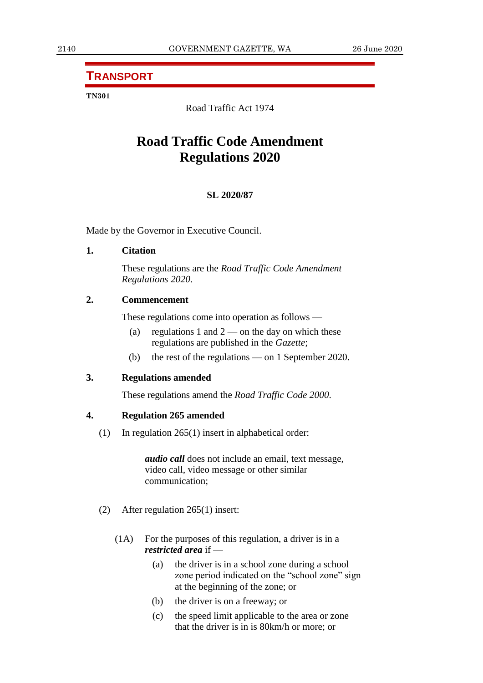# **TRANSPORT**

#### **TN301**

Road Traffic Act 1974

# **Road Traffic Code Amendment Regulations 2020**

#### **SL 2020/87**

Made by the Governor in Executive Council.

#### **1. Citation**

These regulations are the *Road Traffic Code Amendment Regulations 2020*.

## **2. Commencement**

These regulations come into operation as follows —

- (a) regulations 1 and  $2$  on the day on which these regulations are published in the *Gazette*;
- (b) the rest of the regulations on 1 September 2020.

#### **3. Regulations amended**

These regulations amend the *Road Traffic Code 2000*.

#### **4. Regulation 265 amended**

(1) In regulation 265(1) insert in alphabetical order:

*audio call* does not include an email, text message, video call, video message or other similar communication;

- (2) After regulation 265(1) insert:
	- (1A) For the purposes of this regulation, a driver is in a *restricted area* if —
		- (a) the driver is in a school zone during a school zone period indicated on the "school zone" sign at the beginning of the zone; or
		- (b) the driver is on a freeway; or
		- (c) the speed limit applicable to the area or zone that the driver is in is 80km/h or more; or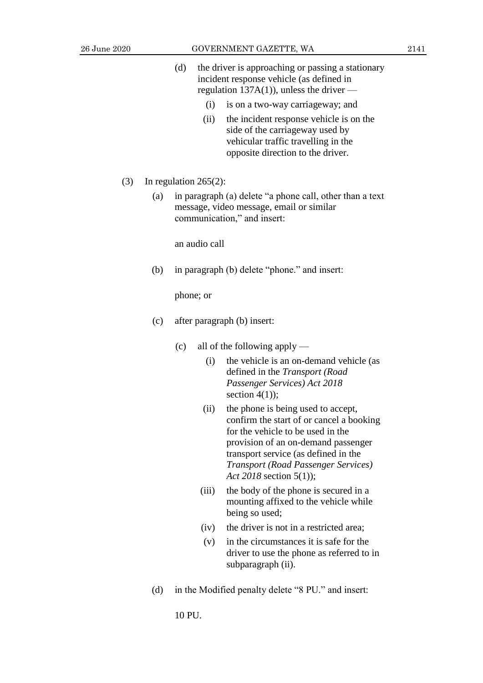- (d) the driver is approaching or passing a stationary incident response vehicle (as defined in regulation 137A(1)), unless the driver  $-$ 
	- (i) is on a two-way carriageway; and
	- (ii) the incident response vehicle is on the side of the carriageway used by vehicular traffic travelling in the opposite direction to the driver.
- (3) In regulation 265(2):
	- (a) in paragraph (a) delete "a phone call, other than a text message, video message, email or similar communication," and insert:

an audio call

(b) in paragraph (b) delete "phone." and insert:

phone; or

- (c) after paragraph (b) insert:
	- (c) all of the following apply
		- (i) the vehicle is an on-demand vehicle (as defined in the *Transport (Road Passenger Services) Act 2018* section  $4(1)$ ;
		- (ii) the phone is being used to accept, confirm the start of or cancel a booking for the vehicle to be used in the provision of an on-demand passenger transport service (as defined in the *Transport (Road Passenger Services) Act 2018* section 5(1));
		- (iii) the body of the phone is secured in a mounting affixed to the vehicle while being so used;
		- (iv) the driver is not in a restricted area;
		- (v) in the circumstances it is safe for the driver to use the phone as referred to in subparagraph (ii).
- (d) in the Modified penalty delete "8 PU." and insert:

10 PU.